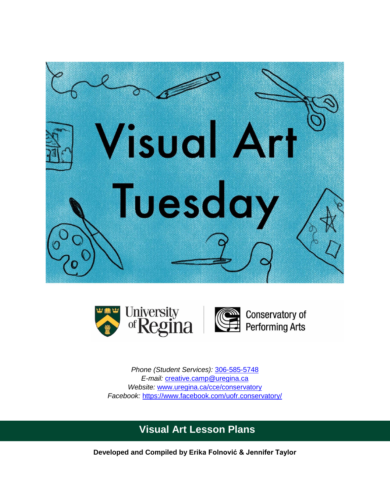



*Phone (Student Services):* [306-585-5748](tel:3065855748) *E-mail:* [creative.camp@uregina.ca](mailto:creative.camp@uregina.ca) *Website:* [www.uregina.ca/cce/conservatory](http://www.uregina.ca/cce/conservatory) *Facebook:* <https://www.facebook.com/uofr.conservatory/>

# **Visual Art Lesson Plans**

**Developed and Compiled by Erika Folnović & Jennifer Taylor**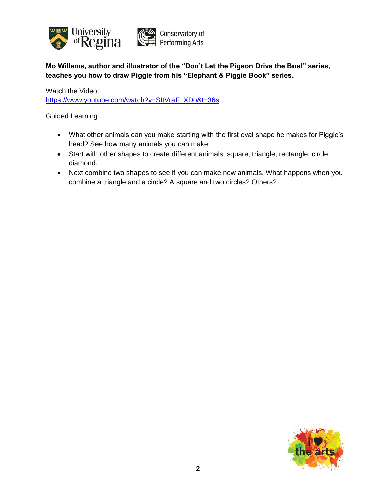

**Mo Willems, author and illustrator of the "Don't Let the Pigeon Drive the Bus!" series, teaches you how to draw Piggie from his "Elephant & Piggie Book" series.**

Watch the Video:

[https://www.youtube.com/watch?v=SItVraF\\_XDo&t=36s](https://www.youtube.com/watch?v=SItVraF_XDo&t=36s)

- What other animals can you make starting with the first oval shape he makes for Piggie's head? See how many animals you can make.
- Start with other shapes to create different animals: square, triangle, rectangle, circle, diamond.
- Next combine two shapes to see if you can make new animals. What happens when you combine a triangle and a circle? A square and two circles? Others?

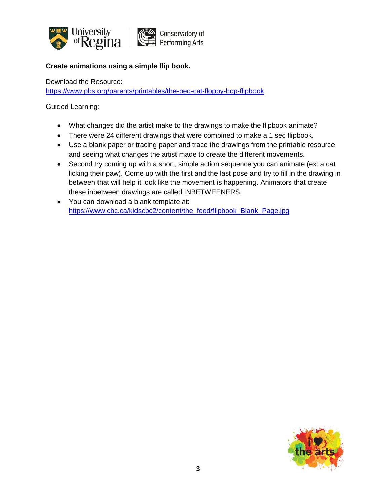

## **Create animations using a simple flip book.**

Download the Resource:

<https://www.pbs.org/parents/printables/the-peg-cat-floppy-hop-flipbook>

- What changes did the artist make to the drawings to make the flipbook animate?
- There were 24 different drawings that were combined to make a 1 sec flipbook.
- Use a blank paper or tracing paper and trace the drawings from the printable resource and seeing what changes the artist made to create the different movements.
- Second try coming up with a short, simple action sequence you can animate (ex: a cat licking their paw). Come up with the first and the last pose and try to fill in the drawing in between that will help it look like the movement is happening. Animators that create these inbetween drawings are called INBETWEENERS.
- You can download a blank template at: [https://www.cbc.ca/kidscbc2/content/the\\_feed/flipbook\\_Blank\\_Page.jpg](https://www.cbc.ca/kidscbc2/content/the_feed/flipbook_Blank_Page.jpg)

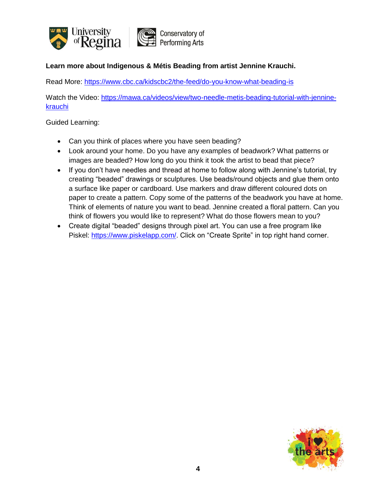

#### **Learn more about Indigenous & Métis Beading from artist Jennine Krauchi.**

Read More: <https://www.cbc.ca/kidscbc2/the-feed/do-you-know-what-beading-is>

Watch the Video: [https://mawa.ca/videos/view/two-needle-metis-beading-tutorial-with-jennine](https://mawa.ca/videos/view/two-needle-metis-beading-tutorial-with-jennine-krauchi)[krauchi](https://mawa.ca/videos/view/two-needle-metis-beading-tutorial-with-jennine-krauchi)

- Can you think of places where you have seen beading?
- Look around your home. Do you have any examples of beadwork? What patterns or images are beaded? How long do you think it took the artist to bead that piece?
- If you don't have needles and thread at home to follow along with Jennine's tutorial, try creating "beaded" drawings or sculptures. Use beads/round objects and glue them onto a surface like paper or cardboard. Use markers and draw different coloured dots on paper to create a pattern. Copy some of the patterns of the beadwork you have at home. Think of elements of nature you want to bead. Jennine created a floral pattern. Can you think of flowers you would like to represent? What do those flowers mean to you?
- Create digital "beaded" designs through pixel art. You can use a free program like Piskel: [https://www.piskelapp.com/.](https://www.piskelapp.com/) Click on "Create Sprite" in top right hand corner.

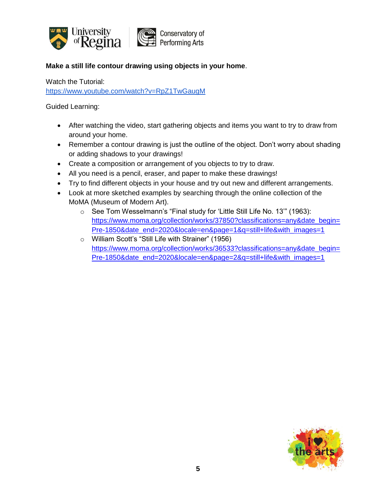

### **Make a still life contour drawing using objects in your home**.

Watch the Tutorial: <https://www.youtube.com/watch?v=RpZ1TwGaugM>

- After watching the video, start gathering objects and items you want to try to draw from around your home.
- Remember a contour drawing is just the outline of the object. Don't worry about shading or adding shadows to your drawings!
- Create a composition or arrangement of you objects to try to draw.
- All you need is a pencil, eraser, and paper to make these drawings!
- Try to find different objects in your house and try out new and different arrangements.
- Look at more sketched examples by searching through the online collection of the MoMA (Museum of Modern Art).
	- o See Tom Wesselmann's "Final study for 'Little Still Life No. 13'" (1963): [https://www.moma.org/collection/works/37850?classifications=any&date\\_begin=](https://www.moma.org/collection/works/37850?classifications=any&date_begin=Pre-1850&date_end=2020&locale=en&page=1&q=still+life&with_images=1) [Pre-1850&date\\_end=2020&locale=en&page=1&q=still+life&with\\_images=1](https://www.moma.org/collection/works/37850?classifications=any&date_begin=Pre-1850&date_end=2020&locale=en&page=1&q=still+life&with_images=1)
	- o William Scott's "Still Life with Strainer" (1956) [https://www.moma.org/collection/works/36533?classifications=any&date\\_begin=](https://www.moma.org/collection/works/36533?classifications=any&date_begin=Pre-1850&date_end=2020&locale=en&page=2&q=still+life&with_images=1) [Pre-1850&date\\_end=2020&locale=en&page=2&q=still+life&with\\_images=1](https://www.moma.org/collection/works/36533?classifications=any&date_begin=Pre-1850&date_end=2020&locale=en&page=2&q=still+life&with_images=1)

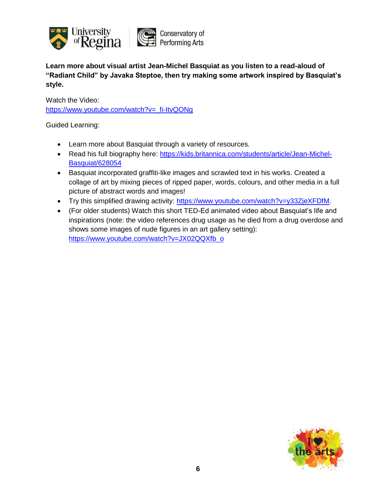

**Learn more about visual artist Jean-Michel Basquiat as you listen to a read-aloud of "Radiant Child" by Javaka Steptoe, then try making some artwork inspired by Basquiat's style.**

Watch the Video: [https://www.youtube.com/watch?v=\\_fi-ItvQONg](https://www.youtube.com/watch?v=_fi-ItvQONg)

- Learn more about Basquiat through a variety of resources.
- Read his full biography here: [https://kids.britannica.com/students/article/Jean-Michel-](https://kids.britannica.com/students/article/Jean-Michel-Basquiat/628054)[Basquiat/628054](https://kids.britannica.com/students/article/Jean-Michel-Basquiat/628054)
- Basquiat incorporated graffiti-like images and scrawled text in his works. Created a collage of art by mixing pieces of ripped paper, words, colours, and other media in a full picture of abstract words and images!
- Try this simplified drawing activity: [https://www.youtube.com/watch?v=y33ZjeXFDfM.](https://www.youtube.com/watch?v=y33ZjeXFDfM)
- (For older students) Watch this short TED-Ed animated video about Basquiat's life and inspirations (note: the video references drug usage as he died from a drug overdose and shows some images of nude figures in an art gallery setting): [https://www.youtube.com/watch?v=JX02QQXfb\\_o](https://www.youtube.com/watch?v=JX02QQXfb_o)

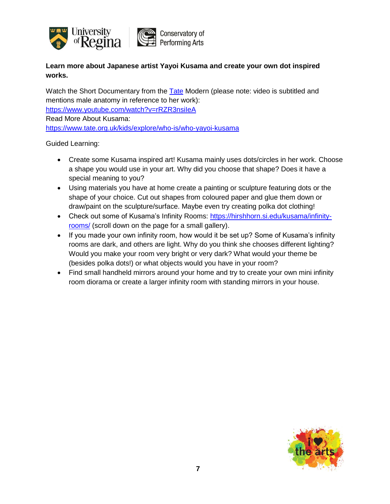

**Learn more about Japanese artist Yayoi Kusama and create your own dot inspired works.**

Watch the Short Documentary from the **[Tate](https://www.facebook.com/tategallery/?__tn__=K-R-R&eid=ARAp4E3YPxcY5DND0qMLCMqutrOhZMsNGJSjCSG2ruidazyVm1pJWXXHoNaTfhHeHnxcvBlfFVhBPusi&fref=mentions&__xts__%5B0%5D=68.ARDNwxzK9xccOwwfZYE0_WnycanfTKWjdkpoaYpy-Gkb2VdQ4V8L0B3nknPtUhlcLC1wSG9_QFl0tFTKCXtpeK2PPPWzAL2DM8Efx07yaQPGWdRo6aWxKrzXCt73d61mLWfi4buRdvgsYW6Ibzh-z9RVpFldKMIV5Dfj23u-4IQTC7i-ynYmpbjCNepY_QDVw7G3mcmLr1E2P2yIameZQiieR9o6-QdXh_YhvKhGlR33yW3h45Tn_zXbrp0mgAbrSYysOYV1fz6iaNRnkR3T_4PJCsEGXpIxMQTqyx5vzPXrrxyCAZs3kGm398WY8jI0i7b7)** Modern (please note: video is subtitled and mentions male anatomy in reference to her work): [https://www.youtube.com/watch?v=rRZR3nsiIeA](https://www.youtube.com/watch?v=rRZR3nsiIeA&fbclid=IwAR3rL_tt92UnELhDwMt2mXp-ZqsfTxDahWzdf1WoLly2uNvZ81RdAhTCO7E) Read More About Kusama: [https://www.tate.org.uk/kids/explore/who-is/who-yayoi-kusama](https://www.tate.org.uk/kids/explore/who-is/who-yayoi-kusama?fbclid=IwAR1bKHYD89Tj5k1nOfaXApZOsu3f660MQ44zHeeNmhCHoqAnQNtbdSDBL7o)

- Create some Kusama inspired art! Kusama mainly uses dots/circles in her work. Choose a shape you would use in your art. Why did you choose that shape? Does it have a special meaning to you?
- Using materials you have at home create a painting or sculpture featuring dots or the shape of your choice. Cut out shapes from coloured paper and glue them down or draw/paint on the sculpture/surface. Maybe even try creating polka dot clothing!
- Check out some of Kusama's Infinity Rooms: [https://hirshhorn.si.edu/kusama/infinity](https://l.facebook.com/l.php?u=https%3A%2F%2Fhirshhorn.si.edu%2Fkusama%2Finfinity-rooms%2F%3Ffbclid%3DIwAR3VpoNJFS8EzPS6YrganZr2VXH54g-A5xK8uZWc71jFoOKT9msFNt1eNS4&h=AT0AhpC9VL2XiQ5o8Z_Oqyd3f0Z2coPchh1fQDaOJg-o81SdFSUG2up0B_k2WM_1KvN3S5_3bSS6sfnEY6NiOF1SLvHkhuSaiG7MVwL-VtWaZjr3fXyhmi_W_JliaNEi-Qc3WKQBHvAKLcu2lV8qPhjshshiqQ2If3JxqnCirUveeCuRx6CBkiL2IKN5_g2a2nEXGyyZ2R3i_XNNdK3dYKzQlFPrqsnXQkMXDPOwynlnjdwPqOX5SmfbJ3cL-0B9BfmY0MXwheycB7UiYB_OBAGCDB7qowKYVLMn12AEDNSIlx_rpm9FnXfkgB52zyBrhVnWVICXqRSmFCu_exqQuVh9Q9kpcv4cUY3xglvwcsy1OWnFJY6UUAZ_Az7RjypIRdU5t_8joTmhCnb8nHZNGa96cViKziK2p91qtTFfXDojXvzFvYmAU6S4iSTh20zn3KoS2bM5K4HmlWGqC7KtfA3WX1A9t-GYwsexHk1A8jkO_3r1M3enTPW0vN5RXI4EKGmQGb5G-8rUcQBJLDr_-Qjb3DCLEYz7NVTQxruqn_A-RPJGhBfTViTHwYFtLkNVBNUHx2aVPtt410m8S3tKh65SG1dnEiZBV6GBeA)[rooms/](https://l.facebook.com/l.php?u=https%3A%2F%2Fhirshhorn.si.edu%2Fkusama%2Finfinity-rooms%2F%3Ffbclid%3DIwAR3VpoNJFS8EzPS6YrganZr2VXH54g-A5xK8uZWc71jFoOKT9msFNt1eNS4&h=AT0AhpC9VL2XiQ5o8Z_Oqyd3f0Z2coPchh1fQDaOJg-o81SdFSUG2up0B_k2WM_1KvN3S5_3bSS6sfnEY6NiOF1SLvHkhuSaiG7MVwL-VtWaZjr3fXyhmi_W_JliaNEi-Qc3WKQBHvAKLcu2lV8qPhjshshiqQ2If3JxqnCirUveeCuRx6CBkiL2IKN5_g2a2nEXGyyZ2R3i_XNNdK3dYKzQlFPrqsnXQkMXDPOwynlnjdwPqOX5SmfbJ3cL-0B9BfmY0MXwheycB7UiYB_OBAGCDB7qowKYVLMn12AEDNSIlx_rpm9FnXfkgB52zyBrhVnWVICXqRSmFCu_exqQuVh9Q9kpcv4cUY3xglvwcsy1OWnFJY6UUAZ_Az7RjypIRdU5t_8joTmhCnb8nHZNGa96cViKziK2p91qtTFfXDojXvzFvYmAU6S4iSTh20zn3KoS2bM5K4HmlWGqC7KtfA3WX1A9t-GYwsexHk1A8jkO_3r1M3enTPW0vN5RXI4EKGmQGb5G-8rUcQBJLDr_-Qjb3DCLEYz7NVTQxruqn_A-RPJGhBfTViTHwYFtLkNVBNUHx2aVPtt410m8S3tKh65SG1dnEiZBV6GBeA) (scroll down on the page for a small gallery).
- If you made your own infinity room, how would it be set up? Some of Kusama's infinity rooms are dark, and others are light. Why do you think she chooses different lighting? Would you make your room very bright or very dark? What would your theme be (besides polka dots!) or what objects would you have in your room?
- Find small handheld mirrors around your home and try to create your own mini infinity room diorama or create a larger infinity room with standing mirrors in your house.

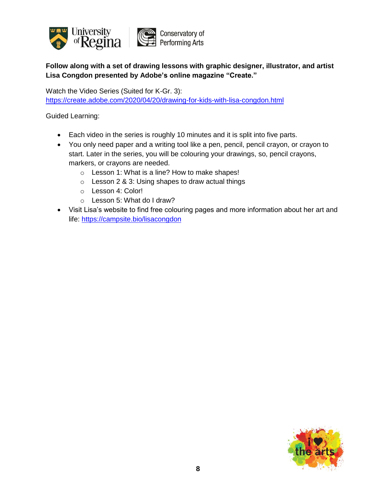

**Follow along with a set of drawing lessons with graphic designer, illustrator, and artist Lisa Congdon presented by Adobe's online magazine "Create."**

Watch the Video Series (Suited for K-Gr. 3): <https://create.adobe.com/2020/04/20/drawing-for-kids-with-lisa-congdon.html>

- Each video in the series is roughly 10 minutes and it is split into five parts.
- You only need paper and a writing tool like a pen, pencil, pencil crayon, or crayon to start. Later in the series, you will be colouring your drawings, so, pencil crayons, markers, or crayons are needed.
	- o Lesson 1: What is a line? How to make shapes!
	- o Lesson 2 & 3: Using shapes to draw actual things
	- o Lesson 4: Color!
	- o Lesson 5: What do I draw?
- Visit Lisa's website to find free colouring pages and more information about her art and life:<https://campsite.bio/lisacongdon>

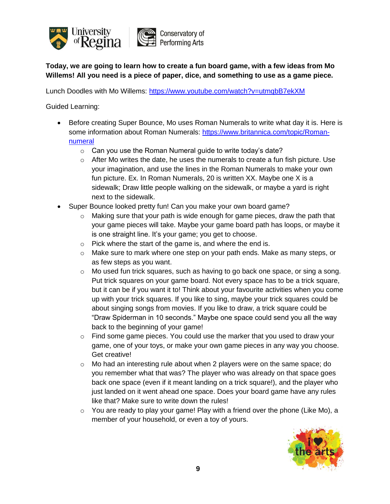

**Today, we are going to learn how to create a fun board game, with a few ideas from Mo Willems! All you need is a piece of paper, dice, and something to use as a game piece.**

Lunch Doodles with Mo Willems:<https://www.youtube.com/watch?v=utmqbB7ekXM>

- Before creating Super Bounce, Mo uses Roman Numerals to write what day it is. Here is some information about Roman Numerals: [https://www.britannica.com/topic/Roman](https://www.britannica.com/topic/Roman-numeral)[numeral](https://www.britannica.com/topic/Roman-numeral)
	- o Can you use the Roman Numeral guide to write today's date?
	- $\circ$  After Mo writes the date, he uses the numerals to create a fun fish picture. Use your imagination, and use the lines in the Roman Numerals to make your own fun picture. Ex. In Roman Numerals, 20 is written XX. Maybe one X is a sidewalk; Draw little people walking on the sidewalk, or maybe a yard is right next to the sidewalk.
- Super Bounce looked pretty fun! Can you make your own board game?
	- o Making sure that your path is wide enough for game pieces, draw the path that your game pieces will take. Maybe your game board path has loops, or maybe it is one straight line. It's your game; you get to choose.
	- o Pick where the start of the game is, and where the end is.
	- $\circ$  Make sure to mark where one step on your path ends. Make as many steps, or as few steps as you want.
	- $\circ$  Mo used fun trick squares, such as having to go back one space, or sing a song. Put trick squares on your game board. Not every space has to be a trick square, but it can be if you want it to! Think about your favourite activities when you come up with your trick squares. If you like to sing, maybe your trick squares could be about singing songs from movies. If you like to draw, a trick square could be "Draw Spiderman in 10 seconds." Maybe one space could send you all the way back to the beginning of your game!
	- o Find some game pieces. You could use the marker that you used to draw your game, one of your toys, or make your own game pieces in any way you choose. Get creative!
	- $\circ$  Mo had an interesting rule about when 2 players were on the same space; do you remember what that was? The player who was already on that space goes back one space (even if it meant landing on a trick square!), and the player who just landed on it went ahead one space. Does your board game have any rules like that? Make sure to write down the rules!
	- $\circ$  You are ready to play your game! Play with a friend over the phone (Like Mo), a member of your household, or even a toy of yours.

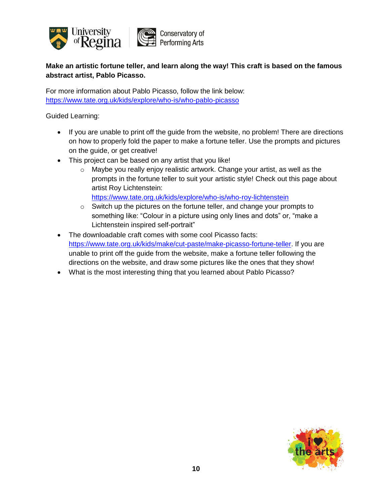

# **Make an artistic fortune teller, and learn along the way! This craft is based on the famous abstract artist, Pablo Picasso.**

For more information about Pablo Picasso, follow the link below: <https://www.tate.org.uk/kids/explore/who-is/who-pablo-picasso>

Guided Learning:

- If you are unable to print off the guide from the website, no problem! There are directions on how to properly fold the paper to make a fortune teller. Use the prompts and pictures on the guide, or get creative!
- This project can be based on any artist that you like!
	- o Maybe you really enjoy realistic artwork. Change your artist, as well as the prompts in the fortune teller to suit your artistic style! Check out this page about artist Roy Lichtenstein:

<https://www.tate.org.uk/kids/explore/who-is/who-roy-lichtenstein>

- o Switch up the pictures on the fortune teller, and change your prompts to something like: "Colour in a picture using only lines and dots" or, "make a Lichtenstein inspired self-portrait"
- The downloadable craft comes with some cool Picasso facts: [https://www.tate.org.uk/kids/make/cut-paste/make-picasso-fortune-teller.](https://www.tate.org.uk/kids/make/cut-paste/make-picasso-fortune-teller) If you are unable to print off the guide from the website, make a fortune teller following the directions on the website, and draw some pictures like the ones that they show!
- What is the most interesting thing that you learned about Pablo Picasso?

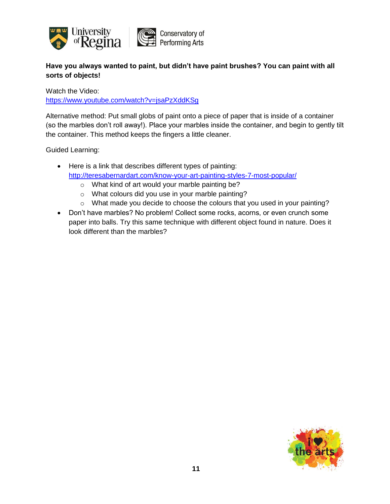

## **Have you always wanted to paint, but didn't have paint brushes? You can paint with all sorts of objects!**

Watch the Video: <https://www.youtube.com/watch?v=jsaPzXddKSg>

Alternative method: Put small globs of paint onto a piece of paper that is inside of a container (so the marbles don't roll away!). Place your marbles inside the container, and begin to gently tilt the container. This method keeps the fingers a little cleaner.

- Here is a link that describes different types of painting: <http://teresabernardart.com/know-your-art-painting-styles-7-most-popular/>
	- o What kind of art would your marble painting be?
	- o What colours did you use in your marble painting?
	- o What made you decide to choose the colours that you used in your painting?
- Don't have marbles? No problem! Collect some rocks, acorns, or even crunch some paper into balls. Try this same technique with different object found in nature. Does it look different than the marbles?

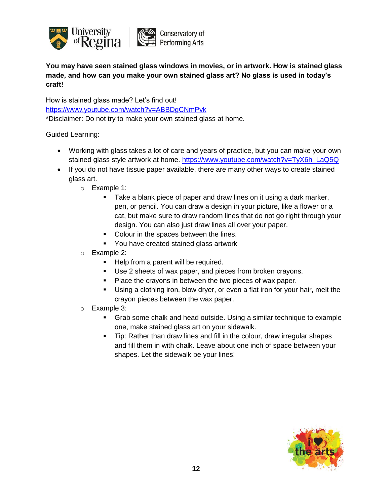

**You may have seen stained glass windows in movies, or in artwork. How is stained glass made, and how can you make your own stained glass art? No glass is used in today's craft!**

How is stained glass made? Let's find out! <https://www.youtube.com/watch?v=ABBDgCNmPvk> \*Disclaimer: Do not try to make your own stained glass at home.

- Working with glass takes a lot of care and years of practice, but you can make your own stained glass style artwork at home. [https://www.youtube.com/watch?v=TyX6h\\_LaQ5Q](https://www.youtube.com/watch?v=TyX6h_LaQ5Q)
- If you do not have tissue paper available, there are many other ways to create stained glass art.
	- o Example 1:
		- Take a blank piece of paper and draw lines on it using a dark marker, pen, or pencil. You can draw a design in your picture, like a flower or a cat, but make sure to draw random lines that do not go right through your design. You can also just draw lines all over your paper.
		- Colour in the spaces between the lines.
		- **You have created stained glass artwork**
	- o Example 2:
		- Help from a parent will be required.
		- Use 2 sheets of wax paper, and pieces from broken crayons.
		- Place the crayons in between the two pieces of wax paper.
		- Using a clothing iron, blow dryer, or even a flat iron for your hair, melt the crayon pieces between the wax paper.
	- o Example 3:
		- Grab some chalk and head outside. Using a similar technique to example one, make stained glass art on your sidewalk.
		- Tip: Rather than draw lines and fill in the colour, draw irregular shapes and fill them in with chalk. Leave about one inch of space between your shapes. Let the sidewalk be your lines!

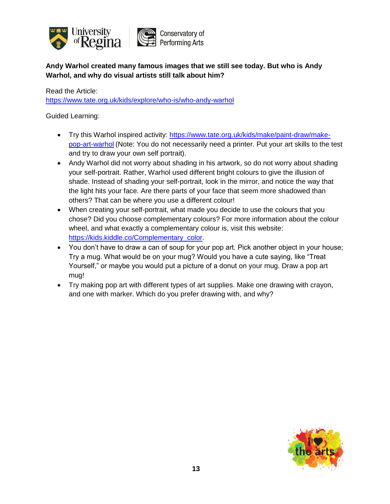

**Andy Warhol created many famous images that we still see today. But who is Andy Warhol, and why do visual artists still talk about him?**

Read the Article:

<https://www.tate.org.uk/kids/explore/who-is/who-andy-warhol>

- Try this Warhol inspired activity: [https://www.tate.org.uk/kids/make/paint-draw/make](https://www.tate.org.uk/kids/make/paint-draw/make-pop-art-warhol)[pop-art-warhol](https://www.tate.org.uk/kids/make/paint-draw/make-pop-art-warhol) (Note: You do not necessarily need a printer. Put your art skills to the test and try to draw your own self portrait).
- Andy Warhol did not worry about shading in his artwork, so do not worry about shading your self-portrait. Rather, Warhol used different bright colours to give the illusion of shade. Instead of shading your self-portrait, look in the mirror, and notice the way that the light hits your face. Are there parts of your face that seem more shadowed than others? That can be where you use a different colour!
- When creating your self-portrait, what made you decide to use the colours that you chose? Did you choose complementary colours? For more information about the colour wheel, and what exactly a complementary colour is, visit this website: [https://kids.kiddle.co/Complementary\\_color.](https://kids.kiddle.co/Complementary_color)
- You don't have to draw a can of soup for your pop art. Pick another object in your house; Try a mug. What would be on your mug? Would you have a cute saying, like "Treat Yourself," or maybe you would put a picture of a donut on your mug. Draw a pop art mug!
- Try making pop art with different types of art supplies. Make one drawing with crayon, and one with marker. Which do you prefer drawing with, and why?

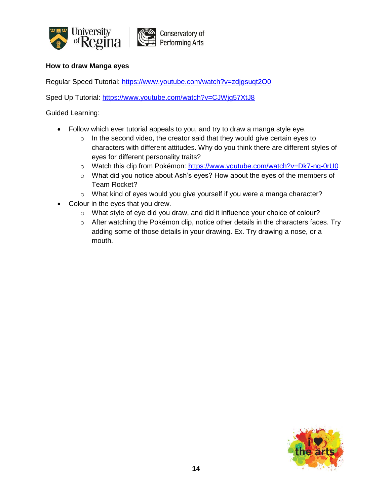

#### **How to draw Manga eyes**

Regular Speed Tutorial:<https://www.youtube.com/watch?v=zdjgsuqt2O0>

Sped Up Tutorial: <https://www.youtube.com/watch?v=CJWjg57XtJ8>

- Follow which ever tutorial appeals to you, and try to draw a manga style eye.
	- o In the second video, the creator said that they would give certain eyes to characters with different attitudes. Why do you think there are different styles of eyes for different personality traits?
	- o Watch this clip from Pokémon:<https://www.youtube.com/watch?v=Dk7-nq-0rU0>
	- o What did you notice about Ash's eyes? How about the eyes of the members of Team Rocket?
	- o What kind of eyes would you give yourself if you were a manga character?
- Colour in the eyes that you drew.
	- o What style of eye did you draw, and did it influence your choice of colour?
	- o After watching the Pokémon clip, notice other details in the characters faces. Try adding some of those details in your drawing. Ex. Try drawing a nose, or a mouth.

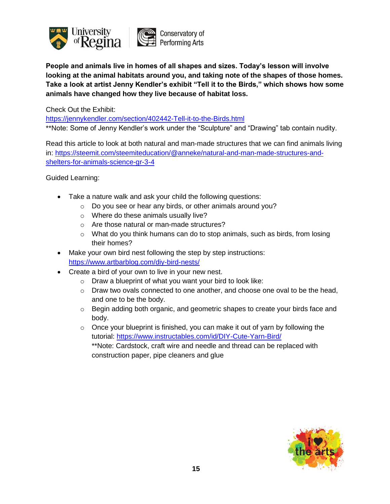

**People and animals live in homes of all shapes and sizes. Today's lesson will involve looking at the animal habitats around you, and taking note of the shapes of those homes. Take a look at artist Jenny Kendler's exhibit "Tell it to the Birds," which shows how some animals have changed how they live because of habitat loss.**

Check Out the Exhibit:

<https://jennykendler.com/section/402442-Tell-it-to-the-Birds.html>

\*\*Note: Some of Jenny Kendler's work under the "Sculpture" and "Drawing" tab contain nudity.

Read this article to look at both natural and man-made structures that we can find animals living in: [https://steemit.com/steemiteducation/@anneke/natural-and-man-made-structures-and](https://steemit.com/steemiteducation/@anneke/natural-and-man-made-structures-and-shelters-for-animals-science-gr-3-4)[shelters-for-animals-science-gr-3-4](https://steemit.com/steemiteducation/@anneke/natural-and-man-made-structures-and-shelters-for-animals-science-gr-3-4)

- Take a nature walk and ask your child the following questions:
	- o Do you see or hear any birds, or other animals around you?
	- o Where do these animals usually live?
	- o Are those natural or man-made structures?
	- o What do you think humans can do to stop animals, such as birds, from losing their homes?
- Make your own bird nest following the step by step instructions: <https://www.artbarblog.com/diy-bird-nests/>
- Create a bird of your own to live in your new nest.
	- $\circ$  Draw a blueprint of what you want your bird to look like:
	- o Draw two ovals connected to one another, and choose one oval to be the head, and one to be the body.
	- $\circ$  Begin adding both organic, and geometric shapes to create your birds face and body.
	- $\circ$  Once your blueprint is finished, you can make it out of yarn by following the tutorial: <https://www.instructables.com/id/DIY-Cute-Yarn-Bird/> \*\*Note: Cardstock, craft wire and needle and thread can be replaced with construction paper, pipe cleaners and glue

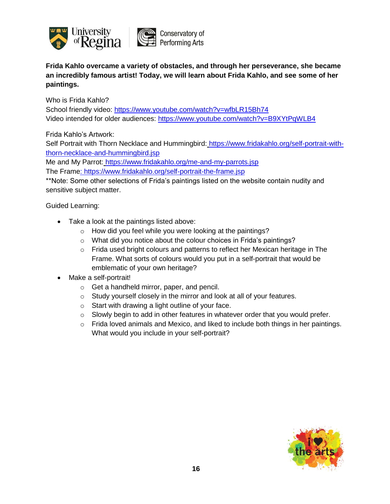

**Frida Kahlo overcame a variety of obstacles, and through her perseverance, she became an incredibly famous artist! Today, we will learn about Frida Kahlo, and see some of her paintings.**

Who is Frida Kahlo?

School friendly video:<https://www.youtube.com/watch?v=wfbLR15Bh74> Video intended for older audiences:<https://www.youtube.com/watch?v=B9XYtPqWLB4>

Frida Kahlo's Artwork:

Self Portrait with Thorn Necklace and Hummingbird: [https://www.fridakahlo.org/self-portrait-with](https://www.fridakahlo.org/self-portrait-with-thorn-necklace-and-hummingbird.jsp)[thorn-necklace-and-hummingbird.jsp](https://www.fridakahlo.org/self-portrait-with-thorn-necklace-and-hummingbird.jsp)

Me and My Parrot: <https://www.fridakahlo.org/me-and-my-parrots.jsp>

The Frame:<https://www.fridakahlo.org/self-portrait-the-frame.jsp>

\*\*Note: Some other selections of Frida's paintings listed on the website contain nudity and sensitive subject matter.

- Take a look at the paintings listed above:
	- o How did you feel while you were looking at the paintings?
	- o What did you notice about the colour choices in Frida's paintings?
	- o Frida used bright colours and patterns to reflect her Mexican heritage in The Frame. What sorts of colours would you put in a self-portrait that would be emblematic of your own heritage?
- Make a self-portrait!
	- o Get a handheld mirror, paper, and pencil.
	- o Study yourself closely in the mirror and look at all of your features.
	- o Start with drawing a light outline of your face.
	- o Slowly begin to add in other features in whatever order that you would prefer.
	- $\circ$  Frida loved animals and Mexico, and liked to include both things in her paintings. What would you include in your self-portrait?